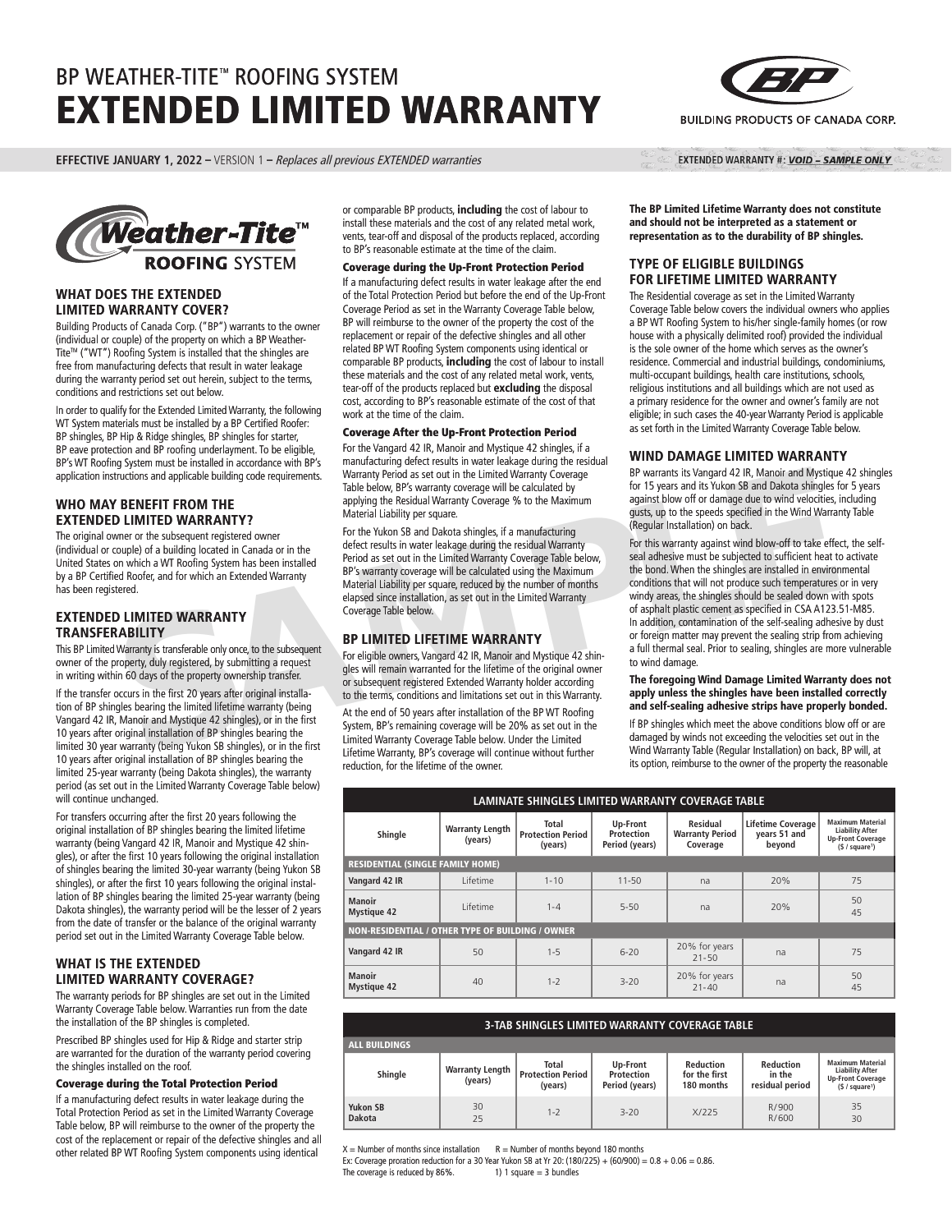# BP WEATHER-TITE™ ROOFING SYSTEM EXTENDED LIMITED WARRANTY

**EFFECTIVE JANUARY 1, 2022 –** VERSION 1 – Replaces all previous EXTENDED warranties



## **WHAT DOES THE EXTENDED LIMITED WARRANTY COVER?**

Building Products of Canada Corp. ("BP") warrants to the owner (individual or couple) of the property on which a BP Weather-Tite™ ("WT") Roofing System is installed that the shingles are free from manufacturing defects that result in water leakage during the warranty period set out herein, subject to the terms, conditions and restrictions set out below.

In order to qualify for the Extended Limited Warranty, the following WT System materials must be installed by a BP Certified Roofer: BP shingles, BP Hip & Ridge shingles, BP shingles for starter, BP eave protection and BP roofing underlayment. To be eligible, BP's WT Roofing System must be installed in accordance with BP's application instructions and applicable building code requirements.

# **WHO MAY BENEFIT FROM THE EXTENDED LIMITED WARRANTY?**

The original owner or the subsequent registered owner (individual or couple) of a building located in Canada or in the United States on which a WT Roofing System has been installed by a BP Certified Roofer, and for which an Extended Warranty has been registered.

# **EXTENDED LIMITED WARRANTY TRANSFERABILITY**

This BP Limited Warranty is transferable only once, to the subsequent owner of the property, duly registered, by submitting a request in writing within 60 days of the property ownership transfer.

If the transfer occurs in the first 20 years after original installation of BP shingles bearing the limited lifetime warranty (being Vangard 42 IR, Manoir and Mystique 42 shingles), or in the first 10 years after original installation of BP shingles bearing the limited 30 year warranty (being Yukon SB shingles), or in the first 10 years after original installation of BP shingles bearing the limited 25-year warranty (being Dakota shingles), the warranty period (as set out in the Limited Warranty Coverage Table below) will continue unchanged.

For transfers occurring after the first 20 years following the original installation of BP shingles bearing the limited lifetime warranty (being Vangard 42 IR, Manoir and Mystique 42 shingles), or after the first 10 years following the original installation of shingles bearing the limited 30-year warranty (being Yukon SB shingles), or after the first 10 years following the original installation of BP shingles bearing the limited 25-year warranty (being Dakota shingles), the warranty period will be the lesser of 2 years from the date of transfer or the balance of the original warranty period set out in the Limited Warranty Coverage Table below.

# **WHAT IS THE EXTENDED LIMITED WARRANTY COVERAGE?**

The warranty periods for BP shingles are set out in the Limited Warranty Coverage Table below. Warranties run from the date the installation of the BP shingles is completed.

Prescribed BP shingles used for Hip & Ridge and starter strip are warranted for the duration of the warranty period covering the shingles installed on the roof.

## Coverage during the Total Protection Period

If a manufacturing defect results in water leakage during the Total Protection Period as set in the Limited Warranty Coverage Table below, BP will reimburse to the owner of the property the cost of the replacement or repair of the defective shingles and all other related BP WT Roofing System components using identical

or comparable BP products, **including** the cost of labour to install these materials and the cost of any related metal work, vents, tear-off and disposal of the products replaced, according to BP's reasonable estimate at the time of the claim.

#### Coverage during the Up-Front Protection Period

If a manufacturing defect results in water leakage after the end of the Total Protection Period but before the end of the Up-Front Coverage Period as set in the Warranty Coverage Table below, BP will reimburse to the owner of the property the cost of the replacement or repair of the defective shingles and all other related BP WT Roofing System components using identical or comparable BP products, **including** the cost of labour to install these materials and the cost of any related metal work, vents, tear-off of the products replaced but **excluding** the disposal cost, according to BP's reasonable estimate of the cost of that work at the time of the claim.

#### Coverage After the Up-Front Protection Period

For the Vangard 42 IR, Manoir and Mystique 42 shingles, if a manufacturing defect results in water leakage during the residual Warranty Period as set out in the Limited Warranty Coverage Table below, BP's warranty coverage will be calculated by applying the Residual Warranty Coverage % to the Maximum Material Liability per square.

For the Yukon SB and Dakota shingles, if a manufacturing defect results in water leakage during the residual Warranty Period as set out in the Limited Warranty Coverage Table below, BP's warranty coverage will be calculated using the Maximum Material Liability per square, reduced by the number of months elapsed since installation, as set out in the Limited Warranty Coverage Table below.

## **BP LIMITED LIFETIME WARRANTY**

For eligible owners, Vangard 42 IR, Manoir and Mystique 42 shingles will remain warranted for the lifetime of the original owner or subsequent registered Extended Warranty holder according to the terms, conditions and limitations set out in this Warranty.

At the end of 50 years after installation of the BP WT Roofing System, BP's remaining coverage will be 20% as set out in the Limited Warranty Coverage Table below. Under the Limited Lifetime Warranty, BP's coverage will continue without further reduction, for the lifetime of the owner.



EXTENDED WARRANTY #: VOID - SAMPLE ONLY

**The BP Limited Lifetime Warranty does not constitute and should not be interpreted as a statement or representation as to the durability of BP shingles.**

## **TYPE OF ELIGIBLE BUILDINGS FOR LIFETIME LIMITED WARRANTY**

The Residential coverage as set in the Limited Warranty Coverage Table below covers the individual owners who applies a BP WT Roofing System to his/her single-family homes (or row house with a physically delimited roof) provided the individual is the sole owner of the home which serves as the owner's residence. Commercial and industrial buildings, condominiums, multi-occupant buildings, health care institutions, schools, religious institutions and all buildings which are not used as a primary residence for the owner and owner's family are not eligible; in such cases the 40-year Warranty Period is applicable as set forth in the Limited Warranty Coverage Table below.

## **WIND DAMAGE LIMITED WARRANTY**

BP warrants its Vangard 42 IR, Manoir and Mystique 42 shingles for 15 years and its Yukon SB and Dakota shingles for 5 years against blow off or damage due to wind velocities, including gusts, up to the speeds specified in the Wind Warranty Table (Regular Installation) on back.

THE THE TROM THE and Dabter and its contained the simulate the sealing of the data and its of the damage due to wind velocities, in the subsequent registered owner<br>
THE DUMITED WARRANTY? Material liability per square.<br>
OLI For this warranty against wind blow-off to take effect, the selfseal adhesive must be subjected to sufficient heat to activate the bond. When the shingles are installed in environmental conditions that will not produce such temperatures or in very windy areas, the shingles should be sealed down with spots of asphalt plastic cement as specified in CSA A123.51-M85. In addition, contamination of the self-sealing adhesive by dust or foreign matter may prevent the sealing strip from achieving a full thermal seal. Prior to sealing, shingles are more vulnerable to wind damage.

#### **The foregoing Wind Damage Limited Warranty does not apply unless the shingles have been installed correctly and self-sealing adhesive strips have properly bonded.**

If BP shingles which meet the above conditions blow off or are damaged by winds not exceeding the velocities set out in the Wind Warranty Table (Regular Installation) on back, BP will, at its option, reimburse to the owner of the property the reasonable

| LAMINATE SHINGLES LIMITED WARRANTY COVERAGE TABLE       |                                   |                                              |                                          |                                                |                                                    |                                                                                                             |  |
|---------------------------------------------------------|-----------------------------------|----------------------------------------------|------------------------------------------|------------------------------------------------|----------------------------------------------------|-------------------------------------------------------------------------------------------------------------|--|
| Shingle                                                 | <b>Warranty Length</b><br>(years) | Total<br><b>Protection Period</b><br>(years) | Up-Front<br>Protection<br>Period (years) | Residual<br><b>Warranty Period</b><br>Coverage | <b>Lifetime Coverage</b><br>years 51 and<br>beyond | <b>Maximum Material</b><br><b>Liability After</b><br><b>Up-Front Coverage</b><br>(§ / square <sup>1</sup> ) |  |
| <b>RESIDENTIAL (SINGLE FAMILY HOME)</b>                 |                                   |                                              |                                          |                                                |                                                    |                                                                                                             |  |
| Vangard 42 IR                                           | I ifetime                         | $1 - 10$                                     | $11 - 50$                                | na                                             | 20%                                                | 75                                                                                                          |  |
| <b>Manoir</b><br><b>Mystique 42</b>                     | I ifetime                         | $1 - 4$                                      | $5 - 50$                                 | na                                             | 20%                                                | 50<br>45                                                                                                    |  |
| <b>NON-RESIDENTIAL / OTHER TYPE OF BUILDING / OWNER</b> |                                   |                                              |                                          |                                                |                                                    |                                                                                                             |  |
| Vangard 42 IR                                           | 50                                | $1 - 5$                                      | $6 - 20$                                 | 20% for years<br>$21 - 50$                     | na                                                 | 75                                                                                                          |  |
| <b>Manoir</b><br><b>Mystique 42</b>                     | 40                                | $1 - 2$                                      | $3 - 20$                                 | 20% for years<br>$21 - 40$                     | na                                                 | 50<br>45                                                                                                    |  |

| <b>3-TAB SHINGLES LIMITED WARRANTY COVERAGE TABLE</b> |                                   |                                                     |                                          |                                                 |                                               |                                                                                                             |  |
|-------------------------------------------------------|-----------------------------------|-----------------------------------------------------|------------------------------------------|-------------------------------------------------|-----------------------------------------------|-------------------------------------------------------------------------------------------------------------|--|
| <b>ALL BUILDINGS</b>                                  |                                   |                                                     |                                          |                                                 |                                               |                                                                                                             |  |
| Shingle                                               | <b>Warranty Length</b><br>(years) | <b>Total</b><br><b>Protection Period</b><br>(years) | Up-Front<br>Protection<br>Period (years) | <b>Reduction</b><br>for the first<br>180 months | <b>Reduction</b><br>in the<br>residual period | <b>Maximum Material</b><br><b>Liability After</b><br><b>Up-Front Coverage</b><br>(§ / square <sup>1</sup> ) |  |
| <b>Yukon SB</b><br>Dakota                             | 30<br>25                          | $1 - 7$                                             | $3 - 20$                                 | X/225                                           | R/900<br>R/600                                | 35<br>30                                                                                                    |  |

 $X =$  Number of months since installation  $R =$  Number of months beyond 180 months

Ex: Coverage proration reduction for a 30 Year Yukon SB at Yr 20: (180/225) + (60/900) =  $0.8 + 0.06 = 0.86$ . The coverage is reduced by  $86\%$ . 1) 1 square = 3 bundles